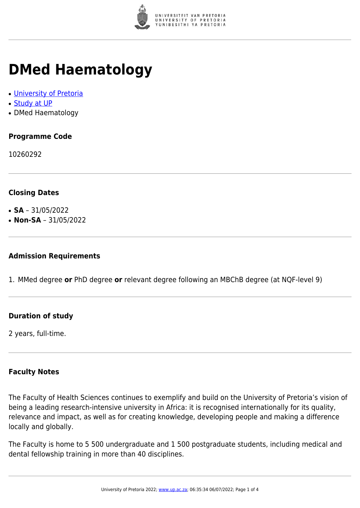

# **DMed Haematology**

- [University of Pretoria](https://www.up.ac.za/home)
- [Study at UP](https://www.up.ac.za/programmes)
- DMed Haematology

## **Programme Code**

10260292

### **Closing Dates**

- **SA** 31/05/2022
- $\cdot$  **Non-SA** 31/05/2022

#### **Admission Requirements**

1. MMed degree **or** PhD degree **or** relevant degree following an MBChB degree (at NQF-level 9)

### **Duration of study**

2 years, full-time.

#### **Faculty Notes**

The Faculty of Health Sciences continues to exemplify and build on the University of Pretoria's vision of being a leading research-intensive university in Africa: it is recognised internationally for its quality, relevance and impact, as well as for creating knowledge, developing people and making a difference locally and globally.

The Faculty is home to 5 500 undergraduate and 1 500 postgraduate students, including medical and dental fellowship training in more than 40 disciplines.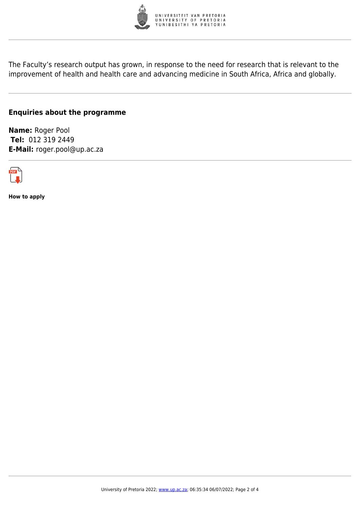

The Faculty's research output has grown, in response to the need for research that is relevant to the improvement of health and health care and advancing medicine in South Africa, Africa and globally.

#### **Enquiries about the programme**

**Name:** Roger Pool **Tel:** 012 319 2449 **E-Mail:** roger.pool@up.ac.za



**How to apply**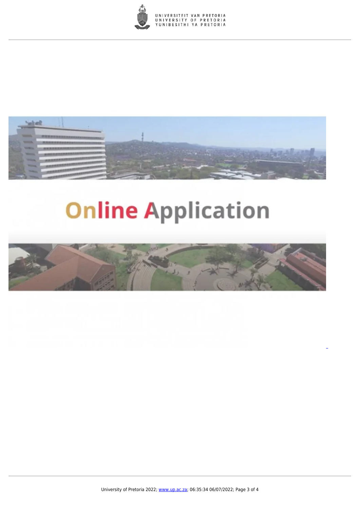



# **Online Application**